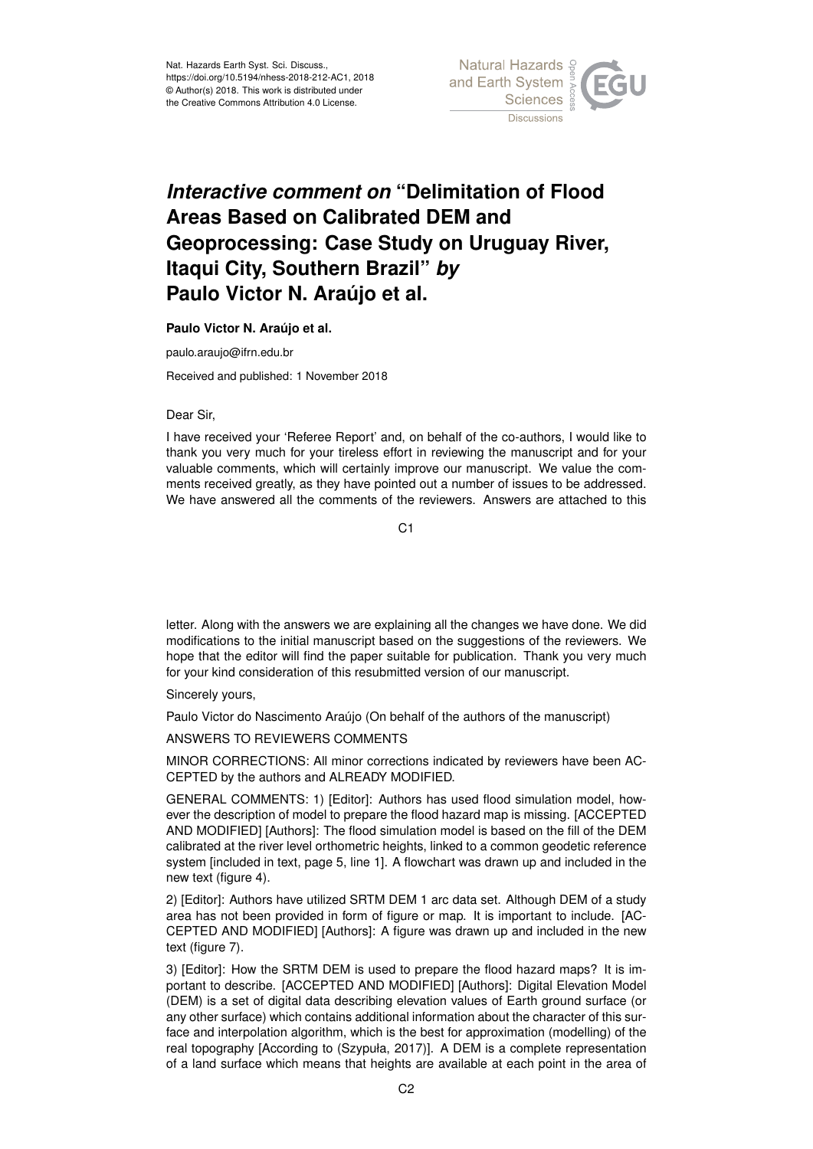

## *Interactive comment on* **"Delimitation of Flood Areas Based on Calibrated DEM and Geoprocessing: Case Study on Uruguay River, Itaqui City, Southern Brazil"** *by* **Paulo Victor N. Araújo et al.**

**Paulo Victor N. Araújo et al.**

paulo.araujo@ifrn.edu.br

Received and published: 1 November 2018

Dear Sir,

I have received your 'Referee Report' and, on behalf of the co-authors, I would like to thank you very much for your tireless effort in reviewing the manuscript and for your valuable comments, which will certainly improve our manuscript. We value the comments received greatly, as they have pointed out a number of issues to be addressed. We have answered all the comments of the reviewers. Answers are attached to this

 $C<sub>1</sub>$ 

letter. Along with the answers we are explaining all the changes we have done. We did modifications to the initial manuscript based on the suggestions of the reviewers. We hope that the editor will find the paper suitable for publication. Thank you very much for your kind consideration of this resubmitted version of our manuscript.

Sincerely yours,

Paulo Victor do Nascimento Araújo (On behalf of the authors of the manuscript)

ANSWERS TO REVIEWERS COMMENTS

MINOR CORRECTIONS: All minor corrections indicated by reviewers have been AC-CEPTED by the authors and ALREADY MODIFIED.

GENERAL COMMENTS: 1) [Editor]: Authors has used flood simulation model, however the description of model to prepare the flood hazard map is missing. [ACCEPTED AND MODIFIED] [Authors]: The flood simulation model is based on the fill of the DEM calibrated at the river level orthometric heights, linked to a common geodetic reference system [included in text, page 5, line 1]. A flowchart was drawn up and included in the new text (figure 4).

2) [Editor]: Authors have utilized SRTM DEM 1 arc data set. Although DEM of a study area has not been provided in form of figure or map. It is important to include. [AC-CEPTED AND MODIFIED] [Authors]: A figure was drawn up and included in the new text (figure 7).

3) [Editor]: How the SRTM DEM is used to prepare the flood hazard maps? It is important to describe. [ACCEPTED AND MODIFIED] [Authors]: Digital Elevation Model (DEM) is a set of digital data describing elevation values of Earth ground surface (or any other surface) which contains additional information about the character of this surface and interpolation algorithm, which is the best for approximation (modelling) of the real topography [According to (Szypuła, 2017)]. A DEM is a complete representation of a land surface which means that heights are available at each point in the area of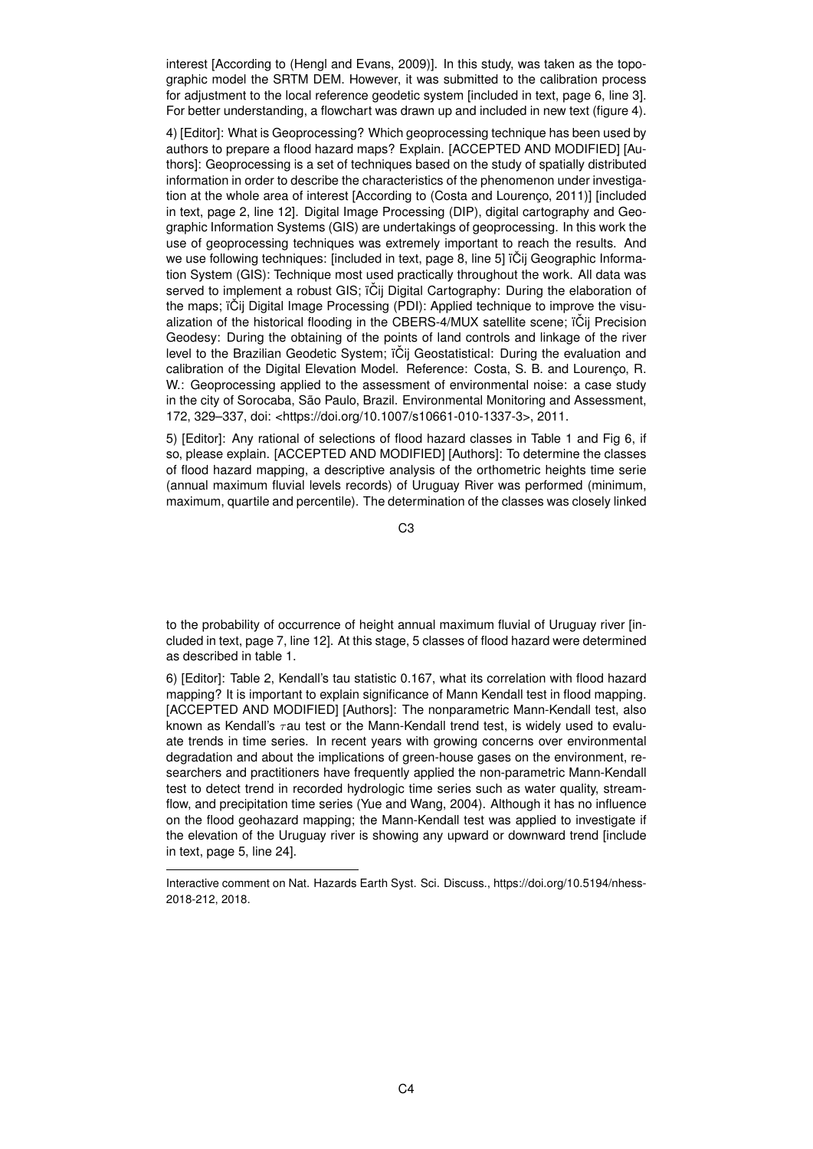interest [According to (Hengl and Evans, 2009)]. In this study, was taken as the topographic model the SRTM DEM. However, it was submitted to the calibration process for adjustment to the local reference geodetic system [included in text, page 6, line 3]. For better understanding, a flowchart was drawn up and included in new text (figure 4).

4) [Editor]: What is Geoprocessing? Which geoprocessing technique has been used by authors to prepare a flood hazard maps? Explain. [ACCEPTED AND MODIFIED] [Authors]: Geoprocessing is a set of techniques based on the study of spatially distributed information in order to describe the characteristics of the phenomenon under investigation at the whole area of interest [According to (Costa and Lourenço, 2011)] [included in text, page 2, line 12]. Digital Image Processing (DIP), digital cartography and Geographic Information Systems (GIS) are undertakings of geoprocessing. In this work the use of geoprocessing techniques was extremely important to reach the results. And we use following techniques: [included in text, page 8, line 5] ïČij Geographic Information System (GIS): Technique most used practically throughout the work. All data was served to implement a robust GIS; ïČij Digital Cartography: During the elaboration of the maps;  $\ddot{\text{o}}$  ii Digital Image Processing (PDI): Applied technique to improve the visualization of the historical flooding in the CBERS-4/MUX satellite scene; iČij Precision Geodesy: During the obtaining of the points of land controls and linkage of the river level to the Brazilian Geodetic System: ïČij Geostatistical: During the evaluation and calibration of the Digital Elevation Model. Reference: Costa, S. B. and Lourenço, R. W.: Geoprocessing applied to the assessment of environmental noise: a case study in the city of Sorocaba, São Paulo, Brazil. Environmental Monitoring and Assessment, 172, 329–337, doi: <https://doi.org/10.1007/s10661-010-1337-3>, 2011.

5) [Editor]: Any rational of selections of flood hazard classes in Table 1 and Fig 6, if so, please explain. [ACCEPTED AND MODIFIED] [Authors]: To determine the classes of flood hazard mapping, a descriptive analysis of the orthometric heights time serie (annual maximum fluvial levels records) of Uruguay River was performed (minimum, maximum, quartile and percentile). The determination of the classes was closely linked

C3

to the probability of occurrence of height annual maximum fluvial of Uruguay river [included in text, page 7, line 12]. At this stage, 5 classes of flood hazard were determined as described in table 1.

6) [Editor]: Table 2, Kendall's tau statistic 0.167, what its correlation with flood hazard mapping? It is important to explain significance of Mann Kendall test in flood mapping. [ACCEPTED AND MODIFIED] [Authors]: The nonparametric Mann-Kendall test, also known as Kendall's  $\tau$ au test or the Mann-Kendall trend test, is widely used to evaluate trends in time series. In recent years with growing concerns over environmental degradation and about the implications of green-house gases on the environment, researchers and practitioners have frequently applied the non-parametric Mann-Kendall test to detect trend in recorded hydrologic time series such as water quality, streamflow, and precipitation time series (Yue and Wang, 2004). Although it has no influence on the flood geohazard mapping; the Mann-Kendall test was applied to investigate if the elevation of the Uruguay river is showing any upward or downward trend [include in text, page 5, line 24].

Interactive comment on Nat. Hazards Earth Syst. Sci. Discuss., https://doi.org/10.5194/nhess-2018-212, 2018.